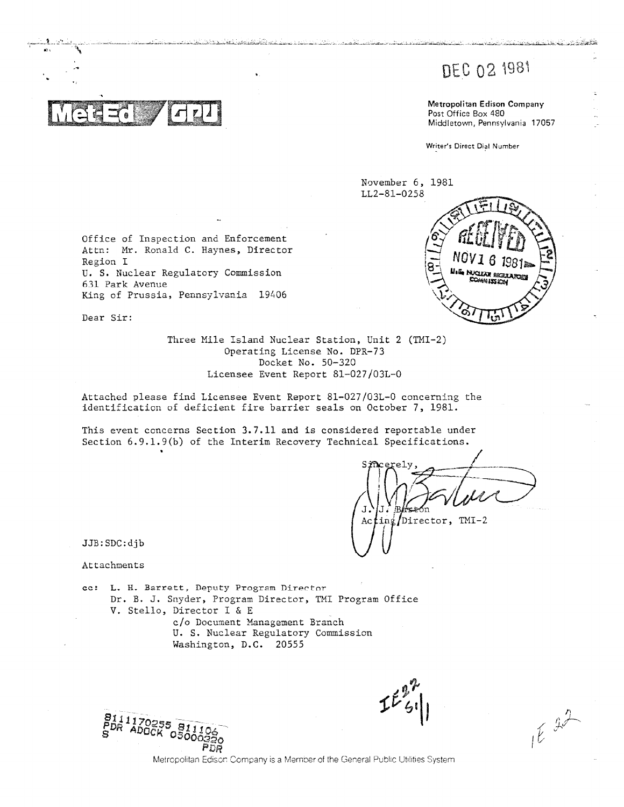# DEC 02 1981

Metropolitan Edison Company Post Office Box 480 Middletown, Pennsylvania 17057

Writer's Direct Dial Number

November 6, 1981 LL2-81-0258



Office of Inspection and Enforcement Attn: Mr. Ronald C. Haynes, Director Region I U. S. Nuclear Regulatory Commission 631 Park Avenue King of Prussia, Pennsylvania 19406

Dear Sir:

Three Mile Island Nuclear Station, Unit 2 (TMI-2) Operating License No. DPR-73 Docket No. 50-320 Licensee Event Report 81-027/03L-0

فالمسافعة فتأولها والمتحدث والمستقاد والمتاريخ والمتاريخ والمتحدد والمسيار والمستحدث والمتعاطف والمتحدث

Attached please find Licensee Event Report 81-027/03L-0 concerning the identification of deficient fire barrier seals on October 7, 1981.

This event concerns Section 3.7.11 and is considered reportable under Section 6.9.1.9(b) of the Interim Recovery Technical Specifications.

ing/Director, TMI-2 Ac t

JJB:SDC:djb

Attachments

cc: L. H. Barrett, Deputy Program Director Dr. B. J. Snyder, Program Director, TMI Program Office V. Stello, Director I & E c/o Document Management Branch U. S. Nuclear Regulatory Commission Washington, D.C. 20555



 $1622$ 

Metropolitan Edison Company is a Member of the General Public Utilities System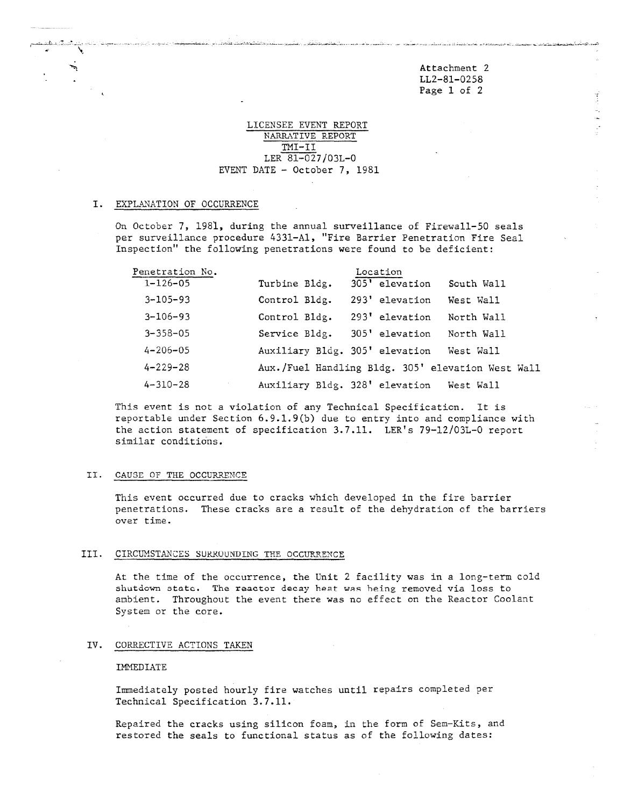Attachment 2 . LL2-81-0258 Page 1 of 2

لمترد لتبدح فأبهزه البدا دعاء فللمكاد عداها وعاود ولتقادمها

\_

# LICENSEE EVENT REPORT NARRATIVE REPORT TMI-II LER 81-027/03L-0 EVENT DATE - October 7, 1981

 $\overline{\phantom{0}}$ 

#### I. EXPLANATION OF OCCURRENCE

 $\mathcal{A}$ 

On October 7, 1981, during the annual surveillance of Firewall-50 seals per surveillance procedure 4331-Al, "Fire Barrier Penetration Fire Seal Inspection" the following penetrations were found to be deficient:

| Penetration No. | Location                       |                                          |                                                   |  |
|-----------------|--------------------------------|------------------------------------------|---------------------------------------------------|--|
| $1 - 126 - 05$  | Turbine Bldg.                  | 305' elevation                           | South Wall                                        |  |
| $3 - 105 - 93$  | Control Bldg.                  | 293' elevation                           | West Wall                                         |  |
| $3 - 106 - 93$  | Control Bldg.                  | 293' elevation                           | North Wall                                        |  |
| $3 - 358 - 05$  | Service Bldg.                  | 305' elevation                           | North Wall                                        |  |
| $4 - 206 - 05$  | Auxiliary Bldg. 305' elevation |                                          | West Wall                                         |  |
| $4 - 229 - 28$  |                                |                                          | Aux./Fuel Handling Bldg. 305' elevation West Wall |  |
| $4 - 310 - 28$  |                                | Auxiliary Bldg. 328' elevation West Wall |                                                   |  |

This event is not a violation of any Technical Specification. It is reportable under Section 6.9.1.9(b) due to entry into and compliance with the action statement of specification 3.7.11. LER's 79-12/03L-0 report similar conditions.

#### 11. CAUSE OF THE OCCURRENCE

This event occurred due to cracks which developed in the fire barrier penetrations. These cracks are a result of the dehydration of the barriers over time.

## III. CIRCUMSTANCES SURROUNDING THE OCCURRENCE

At the time of the occurrence, the Unit 2 facility was in a long-term cold shutdown state. The reactor decay heat was being removed via loss to ambient. Throughout the event there was no effect on the Reactor Coolant System or the core.

## IV. CORRECTIVE ACTIONS TAKEN

### IMMEDIATE

Immediately posted hourly fire watches until repairs completed per Technical Specification 3.7.11.

Repaired the cracks using silicon foam, in the form of Sem-Kits, and restored the seals to functional status as of the following dates: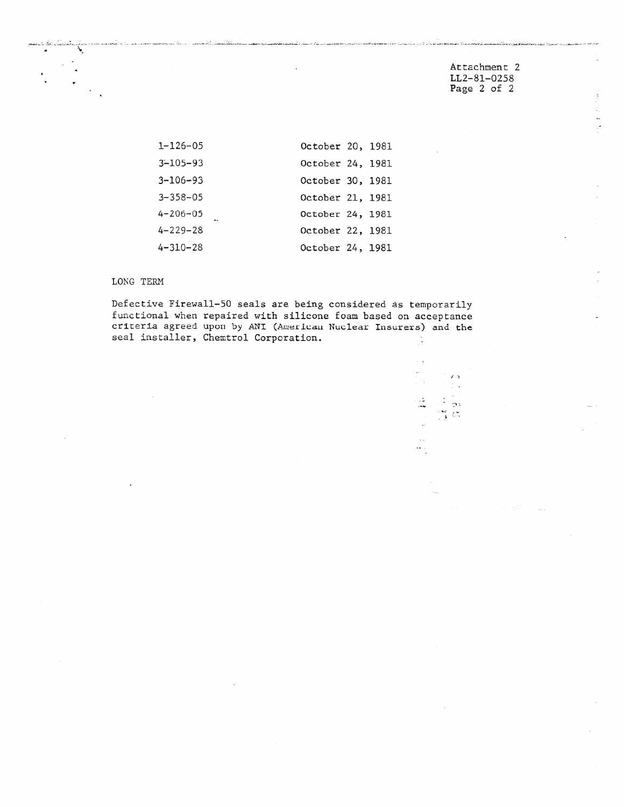Attachment 2 LL2-81-0258 Page 2 of 2

- \_ , . - . \_ \_ \_ . \_ \_ . \_ \_ . \_ \_- \_ , \_ . \_ .-

\_ \_

-

| $1 - 126 - 05$ | October 20, 1981 |  |
|----------------|------------------|--|
| $3 - 105 - 93$ | October 24, 1981 |  |
| $3 - 106 - 93$ | October 30, 1981 |  |
| $3 - 358 - 05$ | October 21, 1981 |  |
| 4-206-05       | October 24, 1981 |  |
| $4 - 229 - 28$ | October 22, 1981 |  |
| $4 - 310 - 28$ | October 24, 1981 |  |

# LONG TERM

Defective Firewall-50 seals are being considered as temporarily functional when repaired with silicone foam based on acceptance criteria agreed upon by ANI (Awerican Nuclear Insurers) and the seal installer, Chemtrol Corporation. Å

Л,  $\sim$   $\epsilon$   $\alpha$  $\frac{1}{2}$  $\frac{1}{\sqrt{3}}$  - as<br> $\frac{1}{\sqrt{3}}$  - as  $\ddotsc$